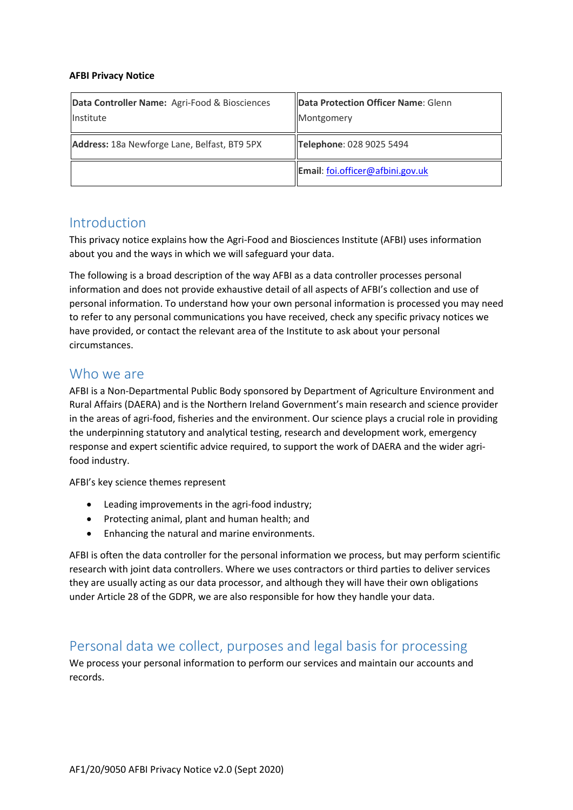#### **AFBI Privacy Notice**

| Data Controller Name: Agri-Food & Biosciences<br>Institute | Data Protection Officer Name: Glenn<br>Montgomery |
|------------------------------------------------------------|---------------------------------------------------|
| Address: 18a Newforge Lane, Belfast, BT9 5PX               | Telephone: 028 9025 5494                          |
|                                                            | Email: foi.officer@afbini.gov.uk                  |

## Introduction

This privacy notice explains how the Agri-Food and Biosciences Institute (AFBI) uses information about you and the ways in which we will safeguard your data.

The following is a broad description of the way AFBI as a data controller processes personal information and does not provide exhaustive detail of all aspects of AFBI's collection and use of personal information. To understand how your own personal information is processed you may need to refer to any personal communications you have received, check any specific privacy notices we have provided, or contact the relevant area of the Institute to ask about your personal circumstances.

## Who we are

AFBI is a Non-Departmental Public Body sponsored by Department of Agriculture Environment and Rural Affairs (DAERA) and is the Northern Ireland Government's main research and science provider in the areas of agri-food, fisheries and the environment. Our science plays a crucial role in providing the underpinning statutory and analytical testing, research and development work, emergency response and expert scientific advice required, to support the work of DAERA and the wider agrifood industry.

AFBI's key science themes represent

- Leading improvements in the agri-food industry;
- Protecting animal, plant and human health; and
- Enhancing the natural and marine environments.

AFBI is often the data controller for the personal information we process, but may perform scientific research with joint data controllers. Where we uses contractors or third parties to deliver services they are usually acting as our data processor, and although they will have their own obligations under Article 28 of the GDPR, we are also responsible for how they handle your data.

# Personal data we collect, purposes and legal basis for processing

We process your personal information to perform our services and maintain our accounts and records.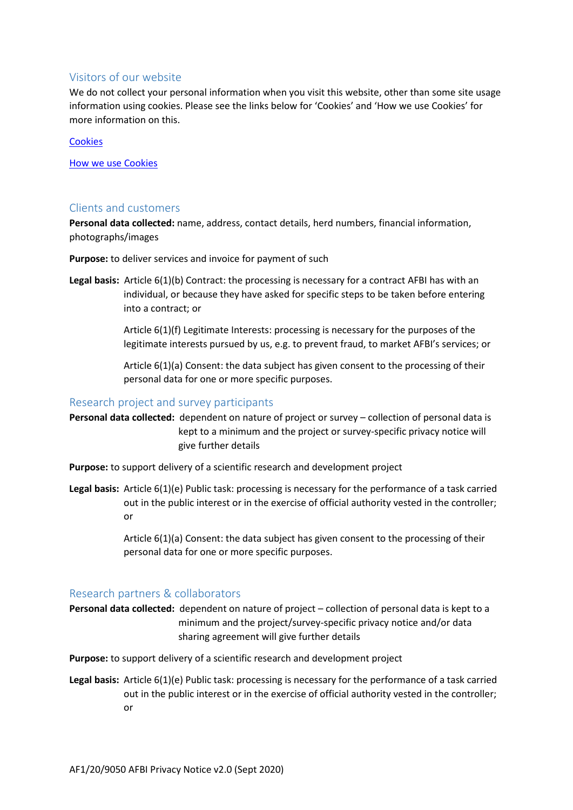#### Visitors of our website

We do not collect your personal information when you visit this website, other than some site usage information using cookies. Please see the links below for 'Cookies' and 'How we use Cookies' for more information on this.

#### **[Cookies](https://www.afbini.gov.uk/cookies)**

[How we use Cookies](https://www.afbini.gov.uk/how-we-use-cookies)

#### Clients and customers

**Personal data collected:** name, address, contact details, herd numbers, financial information, photographs/images

**Purpose:** to deliver services and invoice for payment of such

**Legal basis:** Article 6(1)(b) Contract: the processing is necessary for a contract AFBI has with an individual, or because they have asked for specific steps to be taken before entering into a contract; or

> Article 6(1)(f) Legitimate Interests: processing is necessary for the purposes of the legitimate interests pursued by us, e.g. to prevent fraud, to market AFBI's services; or

Article 6(1)(a) Consent: the data subject has given consent to the processing of their personal data for one or more specific purposes.

#### Research project and survey participants

**Personal data collected:** dependent on nature of project or survey – collection of personal data is kept to a minimum and the project or survey-specific privacy notice will give further details

**Purpose:** to support delivery of a scientific research and development project

**Legal basis:** Article 6(1)(e) Public task: processing is necessary for the performance of a task carried out in the public interest or in the exercise of official authority vested in the controller; or

> Article 6(1)(a) Consent: the data subject has given consent to the processing of their personal data for one or more specific purposes.

#### Research partners & collaborators

**Personal data collected:** dependent on nature of project – collection of personal data is kept to a minimum and the project/survey-specific privacy notice and/or data sharing agreement will give further details

**Purpose:** to support delivery of a scientific research and development project

**Legal basis:** Article 6(1)(e) Public task: processing is necessary for the performance of a task carried out in the public interest or in the exercise of official authority vested in the controller; or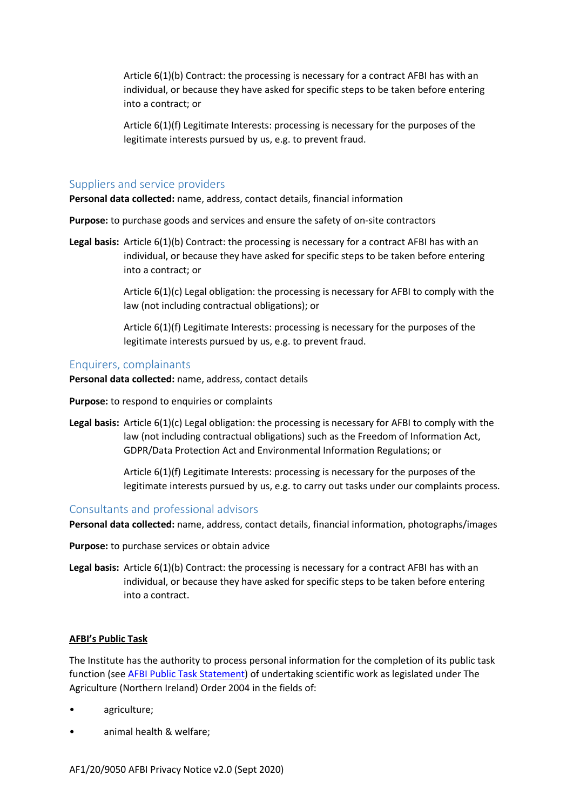Article 6(1)(b) Contract: the processing is necessary for a contract AFBI has with an individual, or because they have asked for specific steps to be taken before entering into a contract; or

Article 6(1)(f) Legitimate Interests: processing is necessary for the purposes of the legitimate interests pursued by us, e.g. to prevent fraud.

#### Suppliers and service providers

**Personal data collected:** name, address, contact details, financial information

**Purpose:** to purchase goods and services and ensure the safety of on-site contractors

**Legal basis:** Article 6(1)(b) Contract: the processing is necessary for a contract AFBI has with an individual, or because they have asked for specific steps to be taken before entering into a contract; or

> Article 6(1)(c) Legal obligation: the processing is necessary for AFBI to comply with the law (not including contractual obligations); or

Article 6(1)(f) Legitimate Interests: processing is necessary for the purposes of the legitimate interests pursued by us, e.g. to prevent fraud.

#### Enquirers, complainants

**Personal data collected:** name, address, contact details

**Purpose:** to respond to enquiries or complaints

**Legal basis:** Article 6(1)(c) Legal obligation: the processing is necessary for AFBI to comply with the law (not including contractual obligations) such as the Freedom of Information Act, GDPR/Data Protection Act and Environmental Information Regulations; or

> Article 6(1)(f) Legitimate Interests: processing is necessary for the purposes of the legitimate interests pursued by us, e.g. to carry out tasks under our complaints process.

#### Consultants and professional advisors

**Personal data collected:** name, address, contact details, financial information, photographs/images

**Purpose:** to purchase services or obtain advice

**Legal basis:** Article 6(1)(b) Contract: the processing is necessary for a contract AFBI has with an individual, or because they have asked for specific steps to be taken before entering into a contract.

#### **AFBI's Public Task**

The Institute has the authority to process personal information for the completion of its public task function (see **AFBI Public Task Statement**) of undertaking scientific work as legislated under The Agriculture (Northern Ireland) Order 2004 in the fields of:

- agriculture;
- animal health & welfare;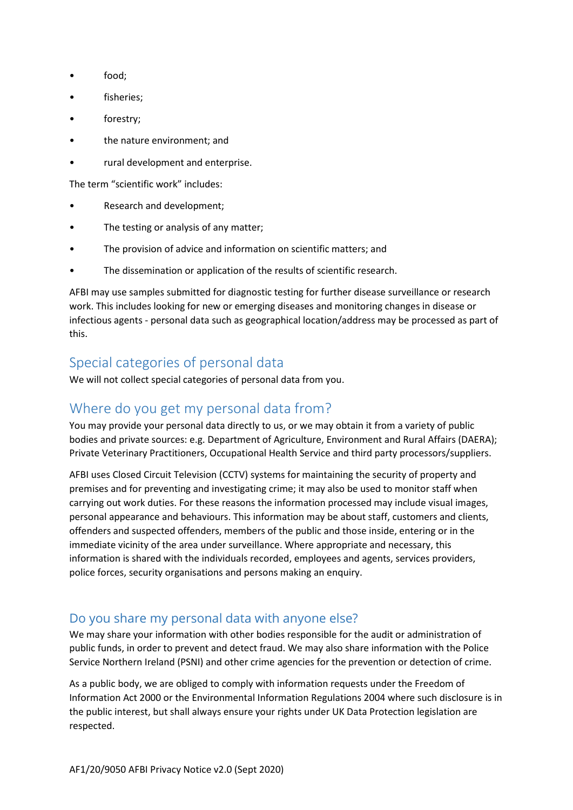- food:
- fisheries;
- forestry;
- the nature environment; and
- rural development and enterprise.

The term "scientific work" includes:

- Research and development;
- The testing or analysis of any matter;
- The provision of advice and information on scientific matters; and
- The dissemination or application of the results of scientific research.

AFBI may use samples submitted for diagnostic testing for further disease surveillance or research work. This includes looking for new or emerging diseases and monitoring changes in disease or infectious agents - personal data such as geographical location/address may be processed as part of this.

# Special categories of personal data

We will not collect special categories of personal data from you.

# Where do you get my personal data from?

You may provide your personal data directly to us, or we may obtain it from a variety of public bodies and private sources: e.g. Department of Agriculture, Environment and Rural Affairs (DAERA); Private Veterinary Practitioners, Occupational Health Service and third party processors/suppliers.

AFBI uses Closed Circuit Television (CCTV) systems for maintaining the security of property and premises and for preventing and investigating crime; it may also be used to monitor staff when carrying out work duties. For these reasons the information processed may include visual images, personal appearance and behaviours. This information may be about staff, customers and clients, offenders and suspected offenders, members of the public and those inside, entering or in the immediate vicinity of the area under surveillance. Where appropriate and necessary, this information is shared with the individuals recorded, employees and agents, services providers, police forces, security organisations and persons making an enquiry.

# Do you share my personal data with anyone else?

We may share your information with other bodies responsible for the audit or administration of public funds, in order to prevent and detect fraud. We may also share information with the Police Service Northern Ireland (PSNI) and other crime agencies for the prevention or detection of crime.

As a public body, we are obliged to comply with information requests under the Freedom of Information Act 2000 or the Environmental Information Regulations 2004 where such disclosure is in the public interest, but shall always ensure your rights under UK Data Protection legislation are respected.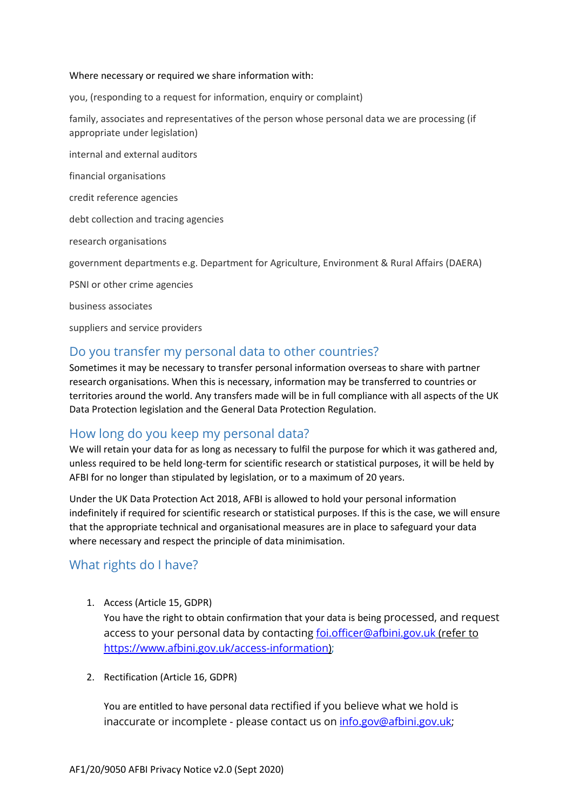#### Where necessary or required we share information with:

you, (responding to a request for information, enquiry or complaint)

family, associates and representatives of the person whose personal data we are processing (if appropriate under legislation)

internal and external auditors

financial organisations

credit reference agencies

debt collection and tracing agencies

research organisations

government departments e.g. Department for Agriculture, Environment & Rural Affairs (DAERA)

PSNI or other crime agencies

business associates

suppliers and service providers

### Do you transfer my personal data to other countries?

Sometimes it may be necessary to transfer personal information overseas to share with partner research organisations. When this is necessary, information may be transferred to countries or territories around the world. Any transfers made will be in full compliance with all aspects of the UK Data Protection legislation and the General Data Protection Regulation.

### How long do you keep my personal data?

We will retain your data for as long as necessary to fulfil the purpose for which it was gathered and, unless required to be held long-term for scientific research or statistical purposes, it will be held by AFBI for no longer than stipulated by legislation, or to a maximum of 20 years.

Under the UK Data Protection Act 2018, AFBI is allowed to hold your personal information indefinitely if required for scientific research or statistical purposes. If this is the case, we will ensure that the appropriate technical and organisational measures are in place to safeguard your data where necessary and respect the principle of data minimisation.

### What rights do I have?

- 1. Access (Article 15, GDPR) You have the right to obtain confirmation that your data is being processed, and request access to your personal data by contacting [foi.officer@afbini.gov.uk](mailto:foi.officer@afbini.gov.uk) (refer to [https://www.afbini.gov.uk/access-information\)](https://www.afbini.gov.uk/access-information);
- 2. Rectification (Article 16, GDPR)

You are entitled to have personal data rectified if you believe what we hold is inaccurate or incomplete - please contact us on [info.gov@afbini.gov.uk;](mailto:info.gov@afbini.gov.uk)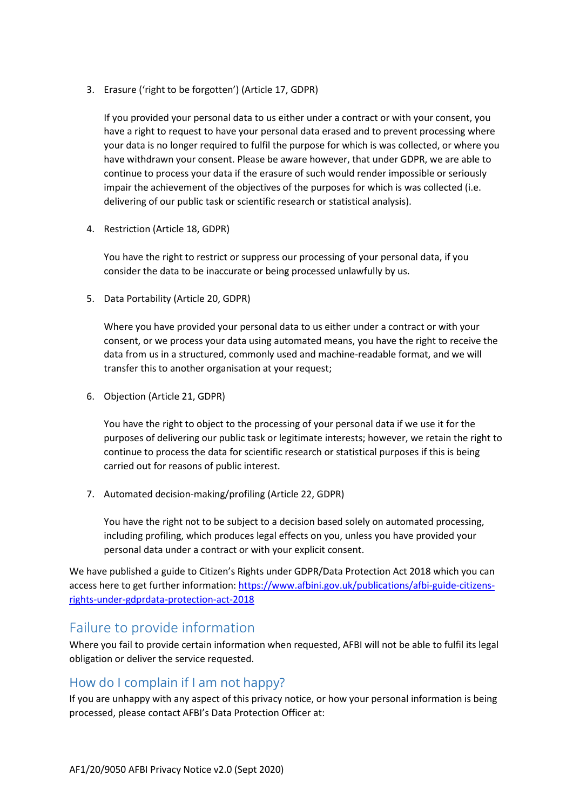3. Erasure ('right to be forgotten') (Article 17, GDPR)

If you provided your personal data to us either under a contract or with your consent, you have a right to request to have your personal data erased and to prevent processing where your data is no longer required to fulfil the purpose for which is was collected, or where you have withdrawn your consent. Please be aware however, that under GDPR, we are able to continue to process your data if the erasure of such would render impossible or seriously impair the achievement of the objectives of the purposes for which is was collected (i.e. delivering of our public task or scientific research or statistical analysis).

4. Restriction (Article 18, GDPR)

You have the right to restrict or suppress our processing of your personal data, if you consider the data to be inaccurate or being processed unlawfully by us.

5. Data Portability (Article 20, GDPR)

Where you have provided your personal data to us either under a contract or with your consent, or we process your data using automated means, you have the right to receive the data from us in a structured, commonly used and machine-readable format, and we will transfer this to another organisation at your request;

6. Objection (Article 21, GDPR)

You have the right to object to the processing of your personal data if we use it for the purposes of delivering our public task or legitimate interests; however, we retain the right to continue to process the data for scientific research or statistical purposes if this is being carried out for reasons of public interest.

7. Automated decision-making/profiling (Article 22, GDPR)

You have the right not to be subject to a decision based solely on automated processing, including profiling, which produces legal effects on you, unless you have provided your personal data under a contract or with your explicit consent.

We have published a guide to Citizen's Rights under GDPR/Data Protection Act 2018 which you can access here to get further information: [https://www.afbini.gov.uk/publications/afbi-guide-citizens](https://www.afbini.gov.uk/publications/afbi-guide-citizens-rights-under-gdprdata-protection-act-2018)[rights-under-gdprdata-protection-act-2018](https://www.afbini.gov.uk/publications/afbi-guide-citizens-rights-under-gdprdata-protection-act-2018)

# Failure to provide information

Where you fail to provide certain information when requested, AFBI will not be able to fulfil its legal obligation or deliver the service requested.

### How do I complain if I am not happy?

If you are unhappy with any aspect of this privacy notice, or how your personal information is being processed, please contact AFBI's Data Protection Officer at: